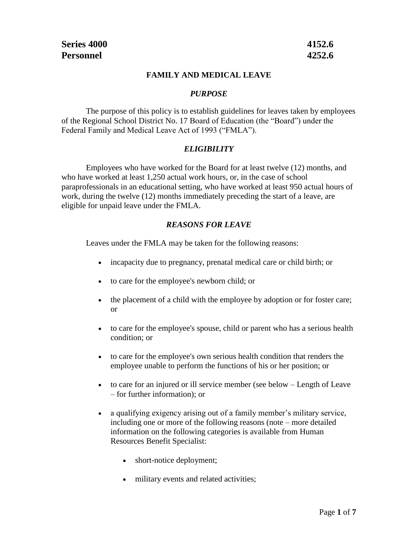#### **FAMILY AND MEDICAL LEAVE**

#### *PURPOSE*

The purpose of this policy is to establish guidelines for leaves taken by employees of the Regional School District No. 17 Board of Education (the "Board") under the Federal Family and Medical Leave Act of 1993 ("FMLA").

#### *ELIGIBILITY*

Employees who have worked for the Board for at least twelve (12) months, and who have worked at least 1,250 actual work hours, or, in the case of school paraprofessionals in an educational setting, who have worked at least 950 actual hours of work, during the twelve (12) months immediately preceding the start of a leave, are eligible for unpaid leave under the FMLA.

#### *REASONS FOR LEAVE*

Leaves under the FMLA may be taken for the following reasons:

- incapacity due to pregnancy, prenatal medical care or child birth; or
- to care for the employee's newborn child; or
- the placement of a child with the employee by adoption or for foster care; or
- to care for the employee's spouse, child or parent who has a serious health condition; or
- to care for the employee's own serious health condition that renders the employee unable to perform the functions of his or her position; or
- to care for an injured or ill service member (see below Length of Leave – for further information); or
- a qualifying exigency arising out of a family member's military service, including one or more of the following reasons (note – more detailed information on the following categories is available from Human Resources Benefit Specialist:
	- short-notice deployment;
	- military events and related activities;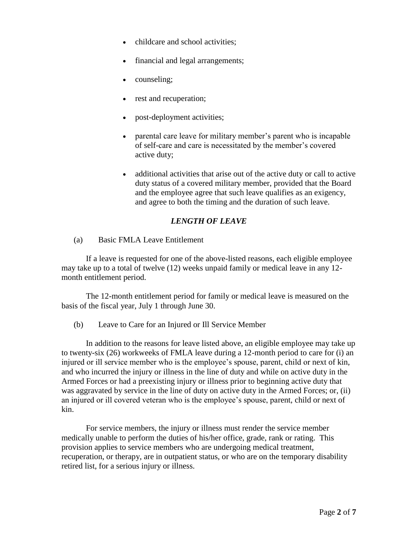- childcare and school activities;
- financial and legal arrangements;
- counseling;
- rest and recuperation;
- post-deployment activities;
- parental care leave for military member's parent who is incapable of self-care and care is necessitated by the member's covered active duty;
- additional activities that arise out of the active duty or call to active duty status of a covered military member, provided that the Board and the employee agree that such leave qualifies as an exigency, and agree to both the timing and the duration of such leave.

# *LENGTH OF LEAVE*

(a) Basic FMLA Leave Entitlement

If a leave is requested for one of the above-listed reasons, each eligible employee may take up to a total of twelve (12) weeks unpaid family or medical leave in any 12 month entitlement period.

The 12-month entitlement period for family or medical leave is measured on the basis of the fiscal year, July 1 through June 30.

(b) Leave to Care for an Injured or Ill Service Member

In addition to the reasons for leave listed above, an eligible employee may take up to twenty-six (26) workweeks of FMLA leave during a 12-month period to care for (i) an injured or ill service member who is the employee's spouse, parent, child or next of kin, and who incurred the injury or illness in the line of duty and while on active duty in the Armed Forces or had a preexisting injury or illness prior to beginning active duty that was aggravated by service in the line of duty on active duty in the Armed Forces; or, (ii) an injured or ill covered veteran who is the employee's spouse, parent, child or next of kin.

For service members, the injury or illness must render the service member medically unable to perform the duties of his/her office, grade, rank or rating. This provision applies to service members who are undergoing medical treatment, recuperation, or therapy, are in outpatient status, or who are on the temporary disability retired list, for a serious injury or illness.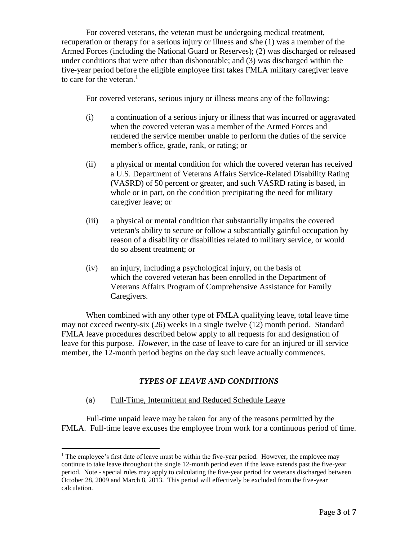For covered veterans, the veteran must be undergoing medical treatment, recuperation or therapy for a serious injury or illness and s/he (1) was a member of the Armed Forces (including the National Guard or Reserves); (2) was discharged or released under conditions that were other than dishonorable; and (3) was discharged within the five-year period before the eligible employee first takes FMLA military caregiver leave to care for the veteran. $<sup>1</sup>$ </sup>

For covered veterans, serious injury or illness means any of the following:

- (i) a continuation of a serious injury or illness that was incurred or aggravated when the covered veteran was a member of the Armed Forces and rendered the service member unable to perform the duties of the service member's office, grade, rank, or rating; or
- (ii) a physical or mental condition for which the covered veteran has received a U.S. Department of Veterans Affairs Service-Related Disability Rating (VASRD) of 50 percent or greater, and such VASRD rating is based, in whole or in part, on the condition precipitating the need for military caregiver leave; or
- (iii) a physical or mental condition that substantially impairs the covered veteran's ability to secure or follow a substantially gainful occupation by reason of a disability or disabilities related to military service, or would do so absent treatment; or
- (iv) an injury, including a psychological injury, on the basis of which the covered veteran has been enrolled in the Department of Veterans Affairs Program of Comprehensive Assistance for Family Caregivers.

When combined with any other type of FMLA qualifying leave, total leave time may not exceed twenty-six (26) weeks in a single twelve (12) month period. Standard FMLA leave procedures described below apply to all requests for and designation of leave for this purpose. *However*, in the case of leave to care for an injured or ill service member, the 12-month period begins on the day such leave actually commences.

# *TYPES OF LEAVE AND CONDITIONS*

# (a) Full-Time, Intermittent and Reduced Schedule Leave

 $\overline{a}$ 

Full-time unpaid leave may be taken for any of the reasons permitted by the FMLA. Full-time leave excuses the employee from work for a continuous period of time.

 $<sup>1</sup>$  The employee's first date of leave must be within the five-year period. However, the employee may</sup> continue to take leave throughout the single 12-month period even if the leave extends past the five-year period. Note - special rules may apply to calculating the five-year period for veterans discharged between October 28, 2009 and March 8, 2013. This period will effectively be excluded from the five-year calculation.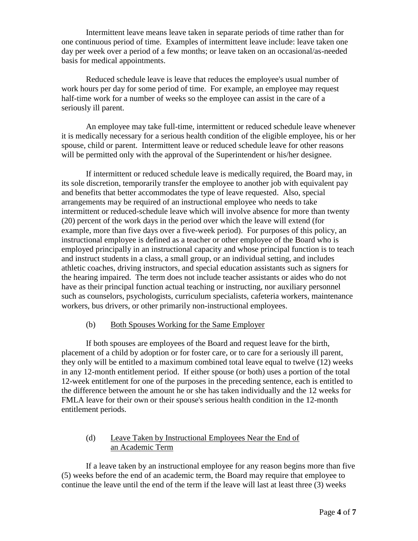Intermittent leave means leave taken in separate periods of time rather than for one continuous period of time. Examples of intermittent leave include: leave taken one day per week over a period of a few months; or leave taken on an occasional/as-needed basis for medical appointments.

Reduced schedule leave is leave that reduces the employee's usual number of work hours per day for some period of time. For example, an employee may request half-time work for a number of weeks so the employee can assist in the care of a seriously ill parent.

An employee may take full-time, intermittent or reduced schedule leave whenever it is medically necessary for a serious health condition of the eligible employee, his or her spouse, child or parent. Intermittent leave or reduced schedule leave for other reasons will be permitted only with the approval of the Superintendent or his/her designee.

If intermittent or reduced schedule leave is medically required, the Board may, in its sole discretion, temporarily transfer the employee to another job with equivalent pay and benefits that better accommodates the type of leave requested. Also, special arrangements may be required of an instructional employee who needs to take intermittent or reduced-schedule leave which will involve absence for more than twenty (20) percent of the work days in the period over which the leave will extend (for example, more than five days over a five-week period).For purposes of this policy, an instructional employee is defined as a teacher or other employee of the Board who is employed principally in an instructional capacity and whose principal function is to teach and instruct students in a class, a small group, or an individual setting, and includes athletic coaches, driving instructors, and special education assistants such as signers for the hearing impaired. The term does not include teacher assistants or aides who do not have as their principal function actual teaching or instructing, nor auxiliary personnel such as counselors, psychologists, curriculum specialists, cafeteria workers, maintenance workers, bus drivers, or other primarily non-instructional employees.

## (b) Both Spouses Working for the Same Employer

If both spouses are employees of the Board and request leave for the birth, placement of a child by adoption or for foster care, or to care for a seriously ill parent, they only will be entitled to a maximum combined total leave equal to twelve (12) weeks in any 12-month entitlement period. If either spouse (or both) uses a portion of the total 12-week entitlement for one of the purposes in the preceding sentence, each is entitled to the difference between the amount he or she has taken individually and the 12 weeks for FMLA leave for their own or their spouse's serious health condition in the 12-month entitlement periods.

# (d) Leave Taken by Instructional Employees Near the End of an Academic Term

If a leave taken by an instructional employee for any reason begins more than five (5) weeks before the end of an academic term, the Board may require that employee to continue the leave until the end of the term if the leave will last at least three (3) weeks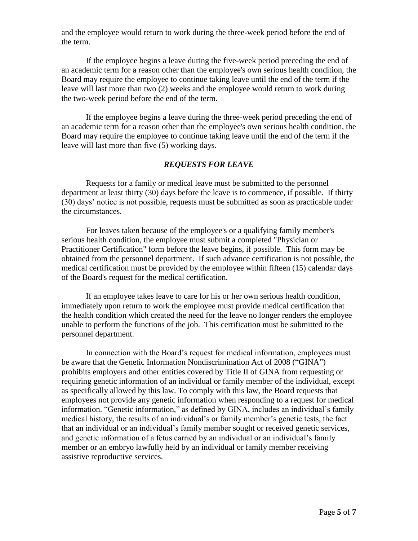and the employee would return to work during the three-week period before the end of the term.

If the employee begins a leave during the five-week period preceding the end of an academic term for a reason other than the employee's own serious health condition, the Board may require the employee to continue taking leave until the end of the term if the leave will last more than two (2) weeks and the employee would return to work during the two-week period before the end of the term.

If the employee begins a leave during the three-week period preceding the end of an academic term for a reason other than the employee's own serious health condition, the Board may require the employee to continue taking leave until the end of the term if the leave will last more than five (5) working days.

## *REQUESTS FOR LEAVE*

Requests for a family or medical leave must be submitted to the personnel department at least thirty (30) days before the leave is to commence, if possible. If thirty (30) days' notice is not possible, requests must be submitted as soon as practicable under the circumstances.

For leaves taken because of the employee's or a qualifying family member's serious health condition, the employee must submit a completed "Physician or Practitioner Certification" form before the leave begins, if possible. This form may be obtained from the personnel department. If such advance certification is not possible, the medical certification must be provided by the employee within fifteen (15) calendar days of the Board's request for the medical certification.

If an employee takes leave to care for his or her own serious health condition, immediately upon return to work the employee must provide medical certification that the health condition which created the need for the leave no longer renders the employee unable to perform the functions of the job. This certification must be submitted to the personnel department.

In connection with the Board's request for medical information, employees must be aware that the Genetic Information Nondiscrimination Act of 2008 ("GINA") prohibits employers and other entities covered by Title II of GINA from requesting or requiring genetic information of an individual or family member of the individual, except as specifically allowed by this law. To comply with this law, the Board requests that employees not provide any genetic information when responding to a request for medical information. "Genetic information," as defined by GINA, includes an individual's family medical history, the results of an individual's or family member's genetic tests, the fact that an individual or an individual's family member sought or received genetic services, and genetic information of a fetus carried by an individual or an individual's family member or an embryo lawfully held by an individual or family member receiving assistive reproductive services.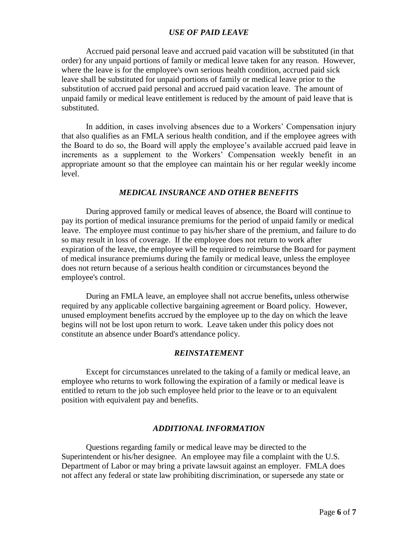# *USE OF PAID LEAVE*

Accrued paid personal leave and accrued paid vacation will be substituted (in that order) for any unpaid portions of family or medical leave taken for any reason. However, where the leave is for the employee's own serious health condition, accrued paid sick leave shall be substituted for unpaid portions of family or medical leave prior to the substitution of accrued paid personal and accrued paid vacation leave. The amount of unpaid family or medical leave entitlement is reduced by the amount of paid leave that is substituted.

In addition, in cases involving absences due to a Workers' Compensation injury that also qualifies as an FMLA serious health condition, and if the employee agrees with the Board to do so, the Board will apply the employee's available accrued paid leave in increments as a supplement to the Workers' Compensation weekly benefit in an appropriate amount so that the employee can maintain his or her regular weekly income level.

#### *MEDICAL INSURANCE AND OTHER BENEFITS*

During approved family or medical leaves of absence, the Board will continue to pay its portion of medical insurance premiums for the period of unpaid family or medical leave. The employee must continue to pay his/her share of the premium, and failure to do so may result in loss of coverage. If the employee does not return to work after expiration of the leave, the employee will be required to reimburse the Board for payment of medical insurance premiums during the family or medical leave, unless the employee does not return because of a serious health condition or circumstances beyond the employee's control.

During an FMLA leave, an employee shall not accrue benefits**,** unless otherwise required by any applicable collective bargaining agreement or Board policy.However, unused employment benefits accrued by the employee up to the day on which the leave begins will not be lost upon return to work. Leave taken under this policy does not constitute an absence under Board's attendance policy.

## *REINSTATEMENT*

Except for circumstances unrelated to the taking of a family or medical leave, an employee who returns to work following the expiration of a family or medical leave is entitled to return to the job such employee held prior to the leave or to an equivalent position with equivalent pay and benefits.

# *ADDITIONAL INFORMATION*

Questions regarding family or medical leave may be directed to the Superintendent or his/her designee. An employee may file a complaint with the U.S. Department of Labor or may bring a private lawsuit against an employer. FMLA does not affect any federal or state law prohibiting discrimination, or supersede any state or